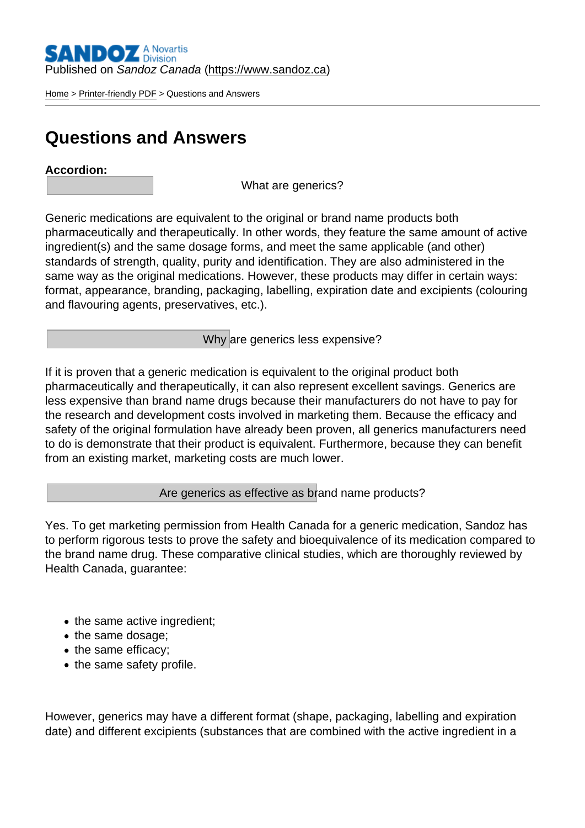Published on Sandoz Canada [\(https://www.sandoz.ca](https://www.sandoz.ca))

[Home](https://www.sandoz.ca/en) > [Printer-friendly PDF](https://www.sandoz.ca/en/printpdf) > Questions and Answers

## Questions and Answers

Accordion :

What are generics?

Generic medications are equivalent to the original or brand name products both pharmaceutically and therapeutically. In other words, they feature the same amount of active ingredient(s) and the same dosage forms, and meet the same applicable (and other) standards of strength, quality, purity and identification. They are also administered in the same way as the original medications. However, these products may differ in certain ways: format, appearance, branding, packaging, labelling, expiration date and excipients (colouring and flavouring agents, preservatives, etc.).

Why are generics less expensive?

If it is proven that a generic medication is equivalent to the original product both pharmaceutically and therapeutically, it can also represent excellent savings. Generics are less expensive than brand name drugs because their manufacturers do not have to pay for the research and development costs involved in marketing them. Because the efficacy and safety of the original formulation have already been proven, all generics manufacturers need to do is demonstrate that their product is equivalent. Furthermore, because they can benefit from an existing market, marketing costs are much lower.

Are generics as effective as brand name products?

Yes. To get marketing permission from Health Canada for a generic medication, Sandoz has to perform rigorous tests to prove the safety and bioequivalence of its medication compared to the brand name drug. These comparative clinical studies, which are thoroughly reviewed by Health Canada, guarantee:

- the same active ingredient;
- the same dosage;
- the same efficacy;
- the same safety profile.

However, generics may have a different format (shape, packaging, labelling and expiration date) and different excipients (substances that are combined with the active ingredient in a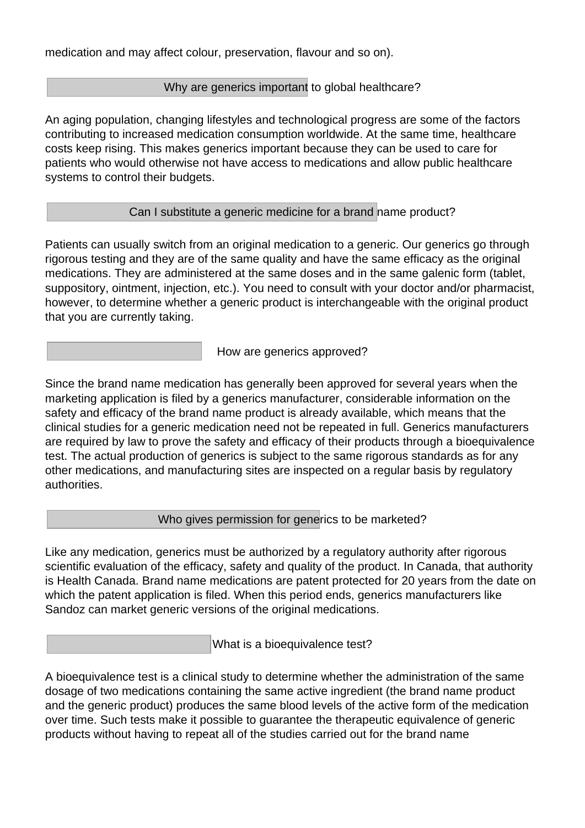medication and may affect colour, preservation, flavour and so on).

## Why are generics important to global healthcare?

An aging population, changing lifestyles and technological progress are some of the factors contributing to increased medication consumption worldwide. At the same time, healthcare costs keep rising. This makes generics important because they can be used to care for patients who would otherwise not have access to medications and allow public healthcare systems to control their budgets.

## Can I substitute a generic medicine for a brand name product?

Patients can usually switch from an original medication to a generic. Our generics go through rigorous testing and they are of the same quality and have the same efficacy as the original medications. They are administered at the same doses and in the same galenic form (tablet, suppository, ointment, injection, etc.). You need to consult with your doctor and/or pharmacist, however, to determine whether a generic product is interchangeable with the original product that you are currently taking.

How are generics approved?

Since the brand name medication has generally been approved for several years when the marketing application is filed by a generics manufacturer, considerable information on the safety and efficacy of the brand name product is already available, which means that the clinical studies for a generic medication need not be repeated in full. Generics manufacturers are required by law to prove the safety and efficacy of their products through a bioequivalence test. The actual production of generics is subject to the same rigorous standards as for any other medications, and manufacturing sites are inspected on a regular basis by regulatory authorities.

Who gives permission for generics to be marketed?

Like any medication, generics must be authorized by a regulatory authority after rigorous scientific evaluation of the efficacy, safety and quality of the product. In Canada, that authority is Health Canada. Brand name medications are patent protected for 20 years from the date on which the patent application is filed. When this period ends, generics manufacturers like Sandoz can market generic versions of the original medications.

What is a bioequivalence test?

A bioequivalence test is a clinical study to determine whether the administration of the same dosage of two medications containing the same active ingredient (the brand name product and the generic product) produces the same blood levels of the active form of the medication over time. Such tests make it possible to guarantee the therapeutic equivalence of generic products without having to repeat all of the studies carried out for the brand name